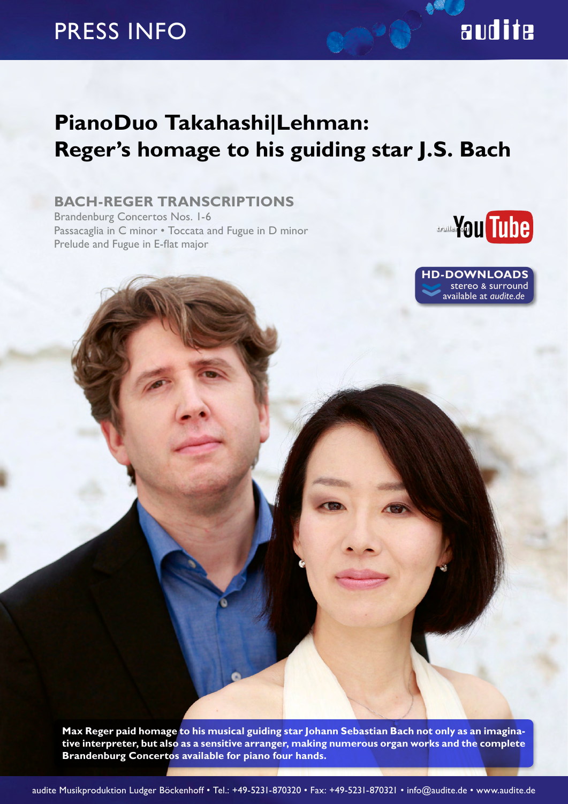## PRESS INFO

### **PianoDuo Takahashi|Lehman: Reger's homage to his guiding star J.S. Bach**

### **BACH-REGER TRANSCRIPTIONS**

Brandenburg Concertos Nos. 1-6 Passacaglia in C minor • Toccata and Fugue in D minor Prelude and Fugue in E-flat major



**‹‹ TD-DOWNLOADS**<br>stereo & surround available at *audite.de*

**Max Reger paid homage to his musical guiding star Johann Sebastian Bach not only as an imaginative interpreter, but also as a sensitive arranger, making numerous organ works and the complete Brandenburg Concertos available for piano four hands.**